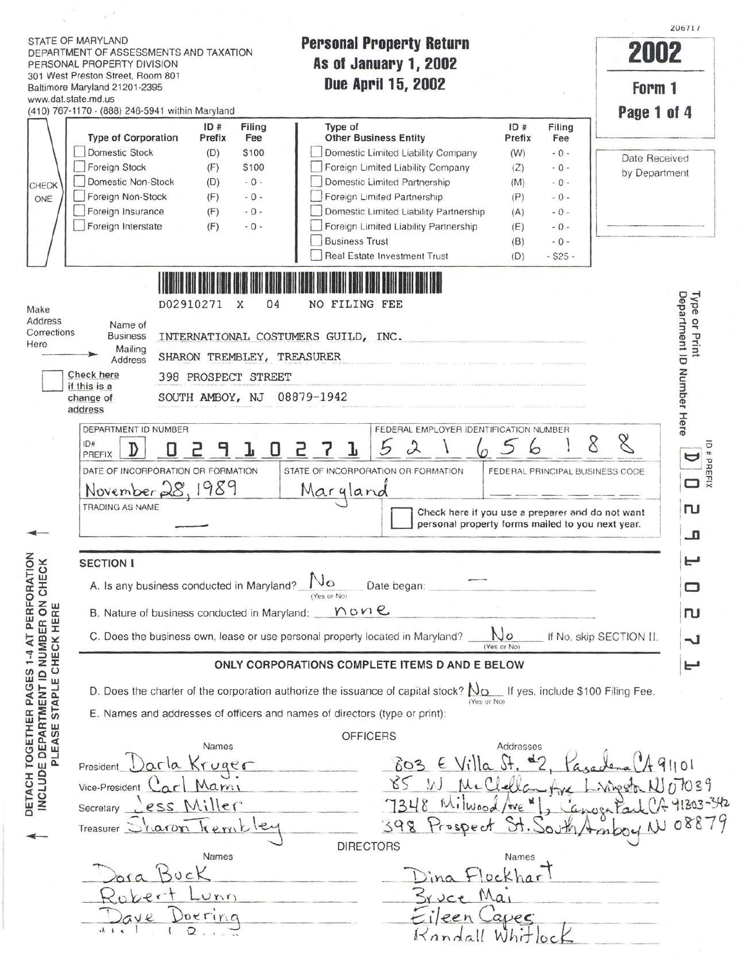$\overline{1^{206717}}$ 20671 I STATE OF MARYLAND **Personal Property Return DEPARTMENT OF ASSESSMENTS AND TAXATION PEPSURIAL PROPERTY NELUPH IMPLICATION** PERSONAL PROPERTY DIVISION **As ol January 1, 2002**  301 West Preston Street. Room 801 **Due April 15, 2002**  Form 1 Baltimore Maryland 21201-2395 www.dat.state.md.us (410) 767-1170 · (888) 246-5941 within Maryland **LPage 1. ol 4**  The Solution of the City of California in the City of The City of The City of The City of The City of The Prefix Fee The City of The City of The City of The Prefix Fee The City of The City of The City of The City of The Ci ID# Filing Type of Corporation Prefix Fee | Other Business Entity Prefix Fee Domestic Limited Liability Company Domestic Stock (D) \$100  $(W) \t - 0$  -Date Received Deportment (B) Stock (F) Stock (D) - 0 Domestic Limited Liability Company (Z) - 0 - by Department (M) - 0 - by Department (M) - 0 - by Department Foreign Stock  $(F)$ \$100 0 Foreign Limited Liability Company  $(Z) - 0 -$ - 0 - (D) CHECK Foreign Non-Stock  $(F)$ - 0 - Foreign Limited Partnership  $(P) - 0 -$ ONE 1 (A)  $-0$  - <br>
(B)  $-0$  -  $\left[\begin{array}{c} 0 \\ -0 \\ -0 \\ -0 \end{array}\right]$  -  $\left[\begin{array}{c} 0 \\ -0 \\ -0 \\ -0 \end{array}\right]$ Foreign Insurance - 0- 0 Domestic Limited Liability Partnership (F)  $(A) - 0 -$ Foreign Interstate  $(F)$  $-0$  -0 Foreign Limited Liability Partnership U Foreign Limited Liability Partnership (E) - 0 -<br>
■ Business Trust (B) - 0 -<br>
■ Real Estate Investment Trust (D) - \$25 -**Business Trust Depa**<br>Depa Make **D02910271** X 04 NO FILING FEE Address Name of or Pri<br>rtmen Corrections Corrections Business INTERNATIONAL COSTUMERS GUILD, INC. rint<br>D Number<br>ant ID Number Mailing<br>Address SHARON TREMBLEY, TREASURER Check here 398 PROSPECT STREET if this is a SOUTH AMBOY, NJ 08879-1942 change of THERES<br>DEPARTMENT ID NUMBER<br>PREFIX  $\boxed{D}$   $\boxed{D}$   $\boxed{D}$   $\boxed{P}$   $\boxed{H}$   $\boxed{D}$   $\boxed{D}$   $\boxed{D}$   $\boxed{D}$   $\boxed{D}$   $\boxed{D}$   $\boxed{D}$   $\boxed{D}$   $\boxed{D}$   $\boxed{D}$   $\boxed{D}$   $\boxed{D}$   $\boxed{D}$   $\boxed{D}$   $\boxed{D}$   $\boxed{D}$   $\boxed{D}$   $\boxed{D}$   $\$ address Here. DEPARTMENT ID NUMBER **IN FEDERAL EMPLOYER IDENTIFICATION NUMBER** #PREFIX  $\cup$ DATE OF INCORPORATION OR FORMATION STATE OF INCORPORATION OR FORMATION FEDERAL PRINCIPAL BUSINESS CODE November 28, 1989 Margland TRADING AS NAME ru I personal property forms mailed to you next year.  $\overline{\mathbf{a}}$ ! DETACH TOGETHER PAGES 1-4 AT PERFORATION I **1:-1**  NCLUDE DEPARTMENT ID NUMBER ON CHECK SECTION I A. Is any business conducted in Maryland?  $\frac{N_{\odot}}{N_{\text{Cov Noj}}}$  Date began:  $\Box$ PLEASE STAPLE CHECK HERE B. Nature of business conducted in Maryland: \_\_ *Y*\ *D Y* <sup>Q</sup>. **!ru** <sup>I</sup> C. Does the business own, lease or use personal property located in Maryland?  $\Box$   $\Box$   $\Box$  If No, skip SECTION II.  $\overline{ }$ (Yes or No) ONLY CORPORATIONS COMPLETE ITEMS D AND E BELOW i *1:-1* D. Does the charter of the corporation authorize the issuance of capital stock?  $N_{\Omega}$  If yes. include \$100 Filing Fee. {Yes or No) E. Names and addresses of officers and names of directors (type or print): **OFFICERS** Names Addresses  $5 + 42$  $603$  E Villa  $P_{resident}$   $O$   $O$   $I$   $\alpha$   $Kryge$  $85$  $\Lambda$  $Vice-President$   $\frac{C_{\alpha r} \cdot M_{\alpha m}}{R_{\alpha r}}$ Linnester N/17039 7348 anoga Park CA 41303-342 Secretary <u>Less Miller</u><br>Treasurer Sharon Trembley Milwood  $we$ Amboy N 08879 398 Prospect st. South **DIRECTORS** Names  $Floc$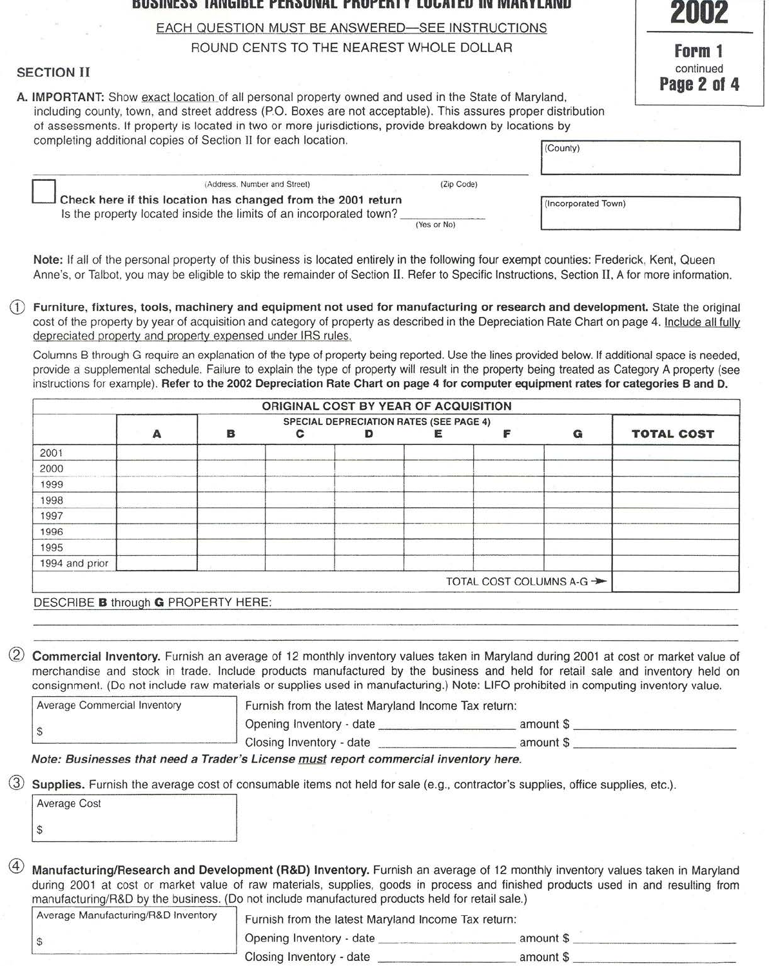## **DUiHllll:l>I> lff1'1blDLC rcnt>UlllffL rnurcn I I LU lift I cu Ill IVlffn I LfflllU**

EACH QUESTION MUST BE ANSWERED-SEE INSTRUCTIONS

ROUND CENTS TO THE NEAREST WHOLE DOLLAR

## SECTION II

A. IMPORTANT: Show exact location of all personal property owned and used in the State of Maryland, including county, town, and street address (P.O. Boxes are not acceptable). This assures proper distribution of assessments. It property is located in two or more jurisdictions, provide breakdown by locations by

| Form *                          |
|---------------------------------|
| continued<br><b>Page 2 of 4</b> |

| at monderning it biobaill in innoning it the at their letterial biotime erromination of innering a<br>completing additional copies of Section II for each location. |             | (County)            |  |
|---------------------------------------------------------------------------------------------------------------------------------------------------------------------|-------------|---------------------|--|
| (Address, Number and Street)                                                                                                                                        | (Zip Code)  |                     |  |
| Check here if this location has changed from the 2001 return<br>Is the property located inside the limits of an incorporated town?                                  | (Yes or No) | (Incorporated Town) |  |

Note: If all of the personal property of this business is located entirely in the following four exempt counties: Frederick, Kent, Queen Anne's, or Talbot, you may be eligible to skip the remainder of Section II. Refer to Specific Instructions, Section II, A for more information.

Furniture, fixtures, tools, machinery and equipment not used for manufacturing or research and development. State the original cost of the property by year of acquisition and category of property as described in the Depreciation Rate Chart on page 4. Include all fully depreciated property and property expensed under IRS rules.

Columns B through G require an explanation of the type of property being reported. Use the lines provided below. If additional space is needed, provide a supplemental schedule. Failure to explain the type of property will result in the property being treated as Category A property (see instructions for example). Refer to the 2002 Depreciation Rate Chart on page 4 for computer equipment rates for categories B and D.

|                |   |   | ORIGINAL COST BY YEAR OF ACQUISITION |                                                |                          |   |                   |
|----------------|---|---|--------------------------------------|------------------------------------------------|--------------------------|---|-------------------|
|                | Α | в |                                      | <b>SPECIAL DEPRECIATION RATES (SEE PAGE 4)</b> |                          | G | <b>TOTAL COST</b> |
| 2001           |   |   |                                      |                                                |                          |   |                   |
| 2000           |   |   |                                      |                                                |                          |   |                   |
| 1999           |   |   |                                      |                                                |                          |   |                   |
| 1998           |   |   |                                      |                                                |                          |   |                   |
| 1997           |   |   |                                      |                                                |                          |   |                   |
| 1996           |   |   |                                      |                                                |                          |   |                   |
| 1995           |   |   |                                      |                                                |                          |   |                   |
| 1994 and prior |   |   |                                      |                                                |                          |   |                   |
|                |   |   |                                      |                                                | TOTAL COST COLUMNS A-G → |   |                   |

DESCRIBE **B** through **G** PROPERTY HERE:

Commercial Inventory. Furnish an average of 12 monthly inventory values taken in Maryland during 2001 at cost or market value of merchandise and stock in trade. Include products manufactured by the business and held for retail sale and inventory held on consignment. (Do not include raw materials or supplies used in manufacturing.) Note: LIFO prohibited in computing inventory value.

| Average Commercial Inventory | Furnish from the latest Maryland Income Tax return: |           |  |
|------------------------------|-----------------------------------------------------|-----------|--|
|                              | Opening Inventory - date                            | amount \$ |  |
|                              | Closing Inventory - date                            | amount S  |  |

Note: Businesses that need a Trader's License must report commercial inventory here.

Supplies. Furnish the average cost of consumable items not held for sale (e.g., contractor's supplies, office supplies, etc.).

| Average Cost |  |
|--------------|--|
|              |  |

Manufacturing/Research and Development (R&D) Inventory. Furnish an average of 12 monthly inventory values taken in Maryland during 2001 at cost or market value of raw materials, supplies, goods in process and finished products used in and resulting from manufacturing/R&D by the business. (Do not include manufactured products held for retail sale.)

| Average Manufacturing/R&D Inventory | Furnish from the latest Maryland Income Tax return: |           |  |
|-------------------------------------|-----------------------------------------------------|-----------|--|
|                                     | Opening Inventory - date                            | amount \$ |  |
|                                     | Closing Inventory - date                            | amount \$ |  |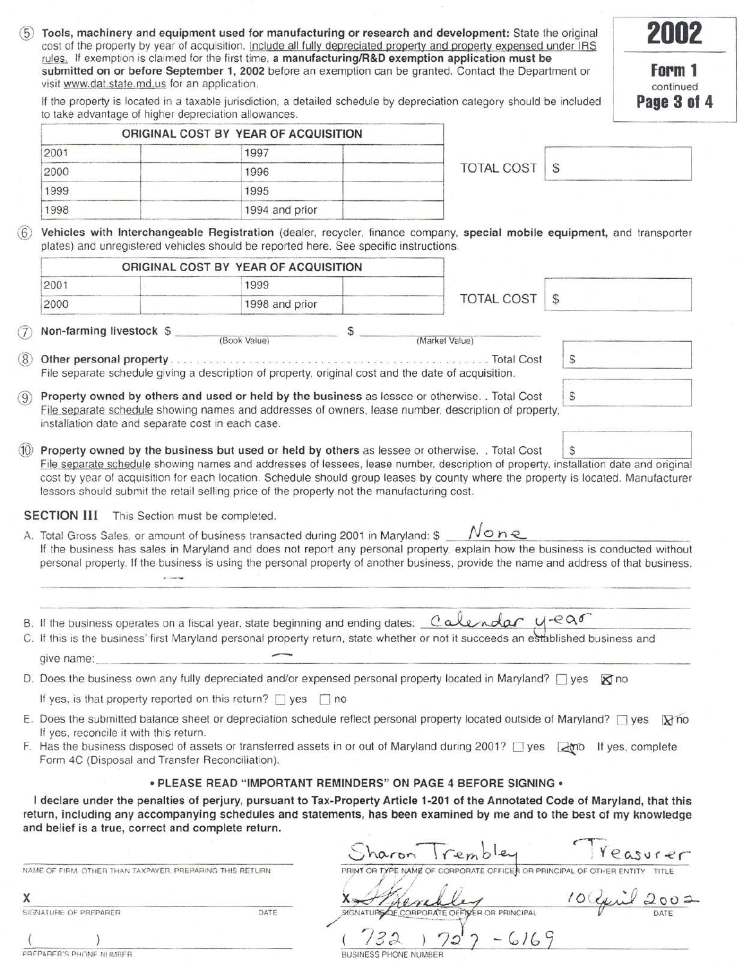| (5) | Tools, machinery and equipment used for manufacturing or research and development: State the original<br>cost of the property by year of acquisition. Include all fully depreciated property and property expensed under IRS                                                                                                                                                                                                                     |                                      |                                                                      |                   |              | 2002                               |
|-----|--------------------------------------------------------------------------------------------------------------------------------------------------------------------------------------------------------------------------------------------------------------------------------------------------------------------------------------------------------------------------------------------------------------------------------------------------|--------------------------------------|----------------------------------------------------------------------|-------------------|--------------|------------------------------------|
|     | rules. If exemption is claimed for the first time, a manufacturing/R&D exemption application must be<br>submitted on or before September 1, 2002 before an exemption can be granted. Contact the Department or<br>visit www.dat.state.md.us for an application.<br>If the property is located in a taxable jurisdiction, a detailed schedule by depreciation category should be included<br>to take advantage of higher depreciation allowances. |                                      |                                                                      |                   |              | Form 1<br>continued<br>Page 3 of 4 |
|     |                                                                                                                                                                                                                                                                                                                                                                                                                                                  | ORIGINAL COST BY YEAR OF ACQUISITION |                                                                      |                   |              |                                    |
|     | 2001                                                                                                                                                                                                                                                                                                                                                                                                                                             | 1997                                 |                                                                      |                   |              |                                    |
|     | 2000                                                                                                                                                                                                                                                                                                                                                                                                                                             | 1996                                 |                                                                      | <b>TOTAL COST</b> | S            |                                    |
|     | 1999                                                                                                                                                                                                                                                                                                                                                                                                                                             | 1995                                 |                                                                      |                   |              |                                    |
|     | 1998                                                                                                                                                                                                                                                                                                                                                                                                                                             | 1994 and prior                       |                                                                      |                   |              |                                    |
| (6) | Vehicles with Interchangeable Registration (dealer, recycler, finance company, special mobile equipment, and transporter<br>plates) and unregistered vehicles should be reported here. See specific instructions.                                                                                                                                                                                                                                |                                      |                                                                      |                   |              |                                    |
|     |                                                                                                                                                                                                                                                                                                                                                                                                                                                  | ORIGINAL COST BY YEAR OF ACQUISITION |                                                                      |                   |              |                                    |
|     | 2001                                                                                                                                                                                                                                                                                                                                                                                                                                             | 1999                                 |                                                                      |                   |              |                                    |
|     | 2000                                                                                                                                                                                                                                                                                                                                                                                                                                             | 1998 and prior                       |                                                                      | <b>TOTAL COST</b> | $\mathbb{S}$ |                                    |
|     |                                                                                                                                                                                                                                                                                                                                                                                                                                                  |                                      |                                                                      |                   |              |                                    |
| (7  | Non-farming livestock \$                                                                                                                                                                                                                                                                                                                                                                                                                         | (Book Value)                         | S<br>(Market Value)                                                  |                   |              |                                    |
| (8) | <b>Other personal property</b> expression of the cost of the cost of the cost of the cost of the cost of the cost of the cost of the cost of the cost of the cost of the cost of the cost of the cost of the cost of the cost of th                                                                                                                                                                                                              |                                      |                                                                      |                   | S            |                                    |
|     | File separate schedule giving a description of property, original cost and the date of acquisition.                                                                                                                                                                                                                                                                                                                                              |                                      |                                                                      |                   |              |                                    |
| (9) | Property owned by others and used or held by the business as lessee or otherwise. . Total Cost                                                                                                                                                                                                                                                                                                                                                   |                                      |                                                                      |                   | S            |                                    |
|     | File separate schedule showing names and addresses of owners, lease number, description of property,<br>installation date and separate cost in each case.                                                                                                                                                                                                                                                                                        |                                      |                                                                      |                   |              |                                    |
|     | <b>SECTION III</b> This Section must be completed.<br>A. Total Gross Sales, or amount of business transacted during 2001 in Maryland: \$<br>If the business has sales in Maryland and does not report any personal property, explain how the business is conducted without<br>personal property. If the business is using the personal property of another business, provide the name and address of that business.                              |                                      |                                                                      | None              |              |                                    |
|     |                                                                                                                                                                                                                                                                                                                                                                                                                                                  |                                      |                                                                      |                   |              |                                    |
|     |                                                                                                                                                                                                                                                                                                                                                                                                                                                  |                                      |                                                                      |                   |              |                                    |
|     | B. If the business operates on a fiscal year, state beginning and ending dates: Calendar $U$ -ear<br>C. If this is the business' first Maryland personal property return, state whether or not it succeeds an established business and                                                                                                                                                                                                           |                                      |                                                                      |                   |              |                                    |
|     | give name:                                                                                                                                                                                                                                                                                                                                                                                                                                       |                                      |                                                                      |                   |              |                                    |
|     | D. Does the business own any fully depreciated and/or expensed personal property located in Maryland? $\Box$ yes                                                                                                                                                                                                                                                                                                                                 |                                      |                                                                      |                   | $\times$ no  |                                    |
|     | If yes, is that property reported on this return? $\Box$ yes $\Box$ no                                                                                                                                                                                                                                                                                                                                                                           |                                      |                                                                      |                   |              |                                    |
|     | E. Does the submitted balance sheet or depreciation schedule reflect personal property located outside of Maryland? $\Box$ yes<br>If yes, reconcile it with this return.<br>F. Has the business disposed of assets or transferred assets in or out of Maryland during 2001? U yes and the ves, complete<br>Form 4C (Disposal and Transfer Reconciliation).                                                                                       |                                      |                                                                      |                   |              | $\times$ no                        |
|     |                                                                                                                                                                                                                                                                                                                                                                                                                                                  |                                      | . PLEASE READ "IMPORTANT REMINDERS" ON PAGE 4 BEFORE SIGNING .       |                   |              |                                    |
|     | I declare under the penalties of perjury, pursuant to Tax-Property Article 1-201 of the Annotated Code of Maryland, that this<br>return, including any accompanying schedules and statements, has been examined by me and to the best of my knowledge<br>and belief is a true, correct and complete return.                                                                                                                                      |                                      |                                                                      |                   |              |                                    |
|     |                                                                                                                                                                                                                                                                                                                                                                                                                                                  |                                      | haron Irembley                                                       |                   |              | reasurer                           |
|     | NAME OF FIRM. OTHER THAN TAXPAYER, PREPARING THIS RETURN                                                                                                                                                                                                                                                                                                                                                                                         |                                      | PRINT OR TYPE NAME OF CORPORATE OFFICER OR PRINCIPAL OF OTHER ENTITY |                   |              |                                    |
| х   |                                                                                                                                                                                                                                                                                                                                                                                                                                                  |                                      |                                                                      |                   |              | 10 year 200:                       |
|     | SIGNATURE OF PREPARER                                                                                                                                                                                                                                                                                                                                                                                                                            | DATE                                 | SIGNATURE OF CORPORATE OF FIVER OR PRINCIPAL                         |                   |              |                                    |

| BUSINESS PHONE NUMBER |  |  |  |
|-----------------------|--|--|--|

 $\frac{1}{\sqrt{2\pi}}$  -REPARER'S PHONE NUMBER